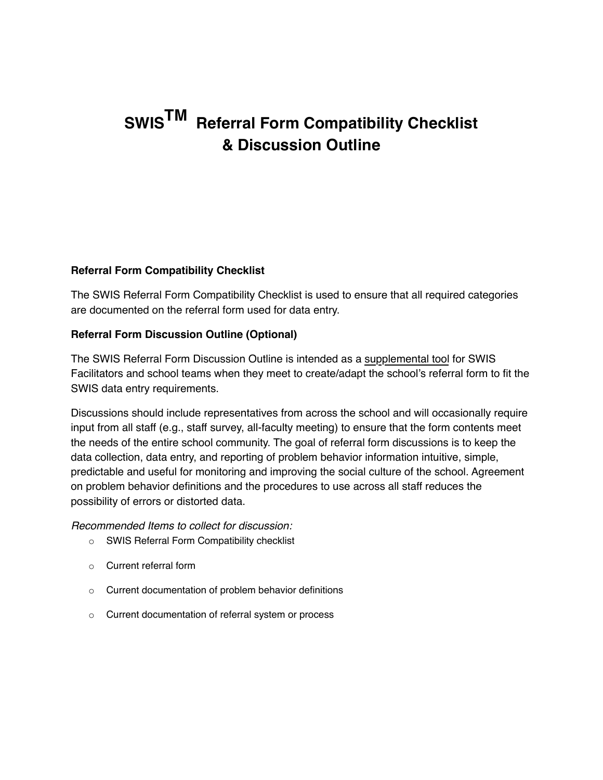## **SWISTM Referral Form Compatibility Checklist & Discussion Outline**

## **Referral Form Compatibility Checklist**

The SWIS Referral Form Compatibility Checklist is used to ensure that all required categories are documented on the referral form used for data entry.

## **Referral Form Discussion Outline (Optional)**

The SWIS Referral Form Discussion Outline is intended as a supplemental tool for SWIS Facilitators and school teams when they meet to create/adapt the school's referral form to fit the SWIS data entry requirements.

Discussions should include representatives from across the school and will occasionally require input from all staff (e.g., staff survey, all-faculty meeting) to ensure that the form contents meet the needs of the entire school community. The goal of referral form discussions is to keep the data collection, data entry, and reporting of problem behavior information intuitive, simple, predictable and useful for monitoring and improving the social culture of the school. Agreement on problem behavior definitions and the procedures to use across all staff reduces the possibility of errors or distorted data.

*Recommended Items to collect for discussion:* 

- o SWIS Referral Form Compatibility checklist
- o Current referral form
- o Current documentation of problem behavior definitions
- o Current documentation of referral system or process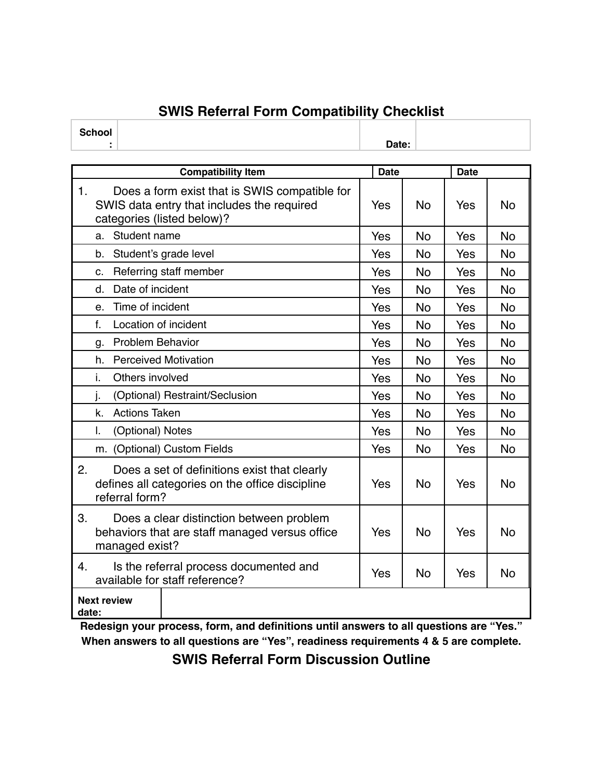## **SWIS Referral Form Compatibility Checklist**

**School**

|       | ÷.                                                                                                                        | Date:       |           |             |           |
|-------|---------------------------------------------------------------------------------------------------------------------------|-------------|-----------|-------------|-----------|
|       |                                                                                                                           |             |           |             |           |
|       | <b>Compatibility Item</b>                                                                                                 | <b>Date</b> |           | <b>Date</b> |           |
| 1.    | Does a form exist that is SWIS compatible for<br>SWIS data entry that includes the required<br>categories (listed below)? | Yes         | <b>No</b> | Yes         | <b>No</b> |
|       | Student name<br>a.                                                                                                        | Yes         | <b>No</b> | Yes         | <b>No</b> |
|       | b.<br>Student's grade level                                                                                               | Yes         | <b>No</b> | Yes         | <b>No</b> |
|       | Referring staff member<br>C.                                                                                              | Yes         | <b>No</b> | Yes         | <b>No</b> |
|       | Date of incident<br>d.                                                                                                    | Yes         | <b>No</b> | Yes         | <b>No</b> |
|       | Time of incident<br>e.                                                                                                    | Yes         | <b>No</b> | Yes         | No        |
|       | Location of incident<br>f.                                                                                                | Yes         | <b>No</b> | Yes         | <b>No</b> |
|       | <b>Problem Behavior</b><br>g.                                                                                             | Yes         | No        | Yes         | <b>No</b> |
|       | <b>Perceived Motivation</b><br>h.                                                                                         | Yes         | No        | Yes         | No        |
|       | i.<br>Others involved                                                                                                     | Yes         | <b>No</b> | Yes         | <b>No</b> |
|       | j.<br>(Optional) Restraint/Seclusion                                                                                      | Yes         | <b>No</b> | Yes         | <b>No</b> |
|       | <b>Actions Taken</b><br>k.                                                                                                | Yes         | <b>No</b> | Yes         | <b>No</b> |
|       | I.<br>(Optional) Notes                                                                                                    | Yes         | No        | Yes         | No        |
|       | m. (Optional) Custom Fields                                                                                               | Yes         | <b>No</b> | Yes         | No        |
| 2.    | Does a set of definitions exist that clearly<br>defines all categories on the office discipline<br>referral form?         | Yes         | <b>No</b> | Yes         | <b>No</b> |
| 3.    | Does a clear distinction between problem<br>behaviors that are staff managed versus office<br>managed exist?              | Yes         | <b>No</b> | Yes         | <b>No</b> |
| 4.    | Is the referral process documented and<br>available for staff reference?                                                  | Yes         | <b>No</b> | <b>Yes</b>  | <b>No</b> |
| date: | <b>Next review</b>                                                                                                        |             |           |             |           |

**Redesign your process, form, and definitions until answers to all questions are "Yes." When answers to all questions are "Yes", readiness requirements 4 & 5 are complete.** 

**SWIS Referral Form Discussion Outline**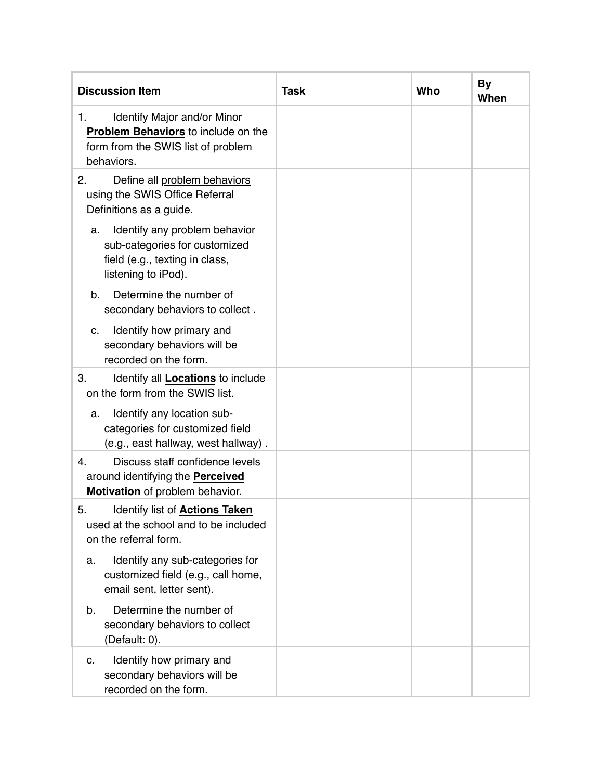| <b>Discussion Item</b>                                                                                                              | <b>Task</b> | Who | <b>By</b><br>When |
|-------------------------------------------------------------------------------------------------------------------------------------|-------------|-----|-------------------|
| Identify Major and/or Minor<br>1.<br><b>Problem Behaviors</b> to include on the<br>form from the SWIS list of problem<br>behaviors. |             |     |                   |
| 2.<br>Define all problem behaviors<br>using the SWIS Office Referral<br>Definitions as a guide.                                     |             |     |                   |
| Identify any problem behavior<br>a.<br>sub-categories for customized<br>field (e.g., texting in class,<br>listening to iPod).       |             |     |                   |
| Determine the number of<br>b.<br>secondary behaviors to collect.                                                                    |             |     |                   |
| Identify how primary and<br>C.<br>secondary behaviors will be<br>recorded on the form.                                              |             |     |                   |
| 3.<br>Identify all <b>Locations</b> to include<br>on the form from the SWIS list.                                                   |             |     |                   |
| Identify any location sub-<br>a.<br>categories for customized field<br>(e.g., east hallway, west hallway).                          |             |     |                   |
| Discuss staff confidence levels<br>4.<br>around identifying the <b>Perceived</b><br>Motivation of problem behavior.                 |             |     |                   |
| 5.<br>Identify list of <b>Actions Taken</b><br>used at the school and to be included<br>on the referral form.                       |             |     |                   |
| Identify any sub-categories for<br>a.<br>customized field (e.g., call home,<br>email sent, letter sent).                            |             |     |                   |
| Determine the number of<br>$b_{\cdot}$<br>secondary behaviors to collect<br>(Default: 0).                                           |             |     |                   |
| Identify how primary and<br>C.<br>secondary behaviors will be<br>recorded on the form.                                              |             |     |                   |